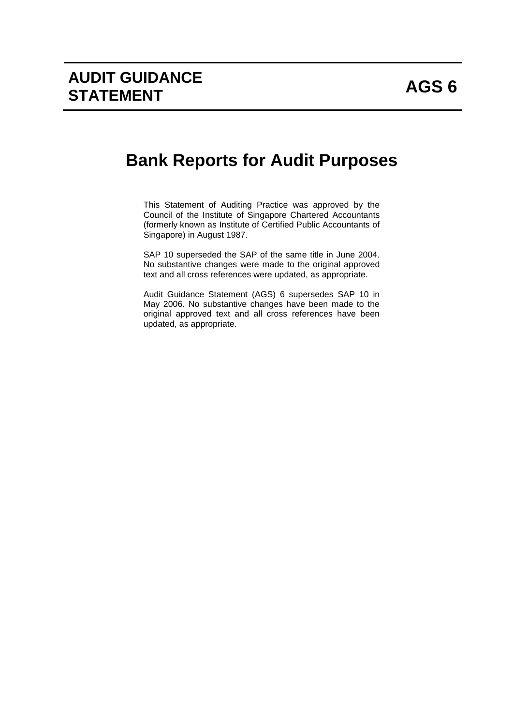# **Bank Reports for Audit Purposes**

This Statement of Auditing Practice was approved by the Council of the Institute of Singapore Chartered Accountants (formerly known as Institute of Certified Public Accountants of Singapore) in August 1987.

SAP 10 superseded the SAP of the same title in June 2004. No substantive changes were made to the original approved text and all cross references were updated, as appropriate.

Audit Guidance Statement (AGS) 6 supersedes SAP 10 in May 2006. No substantive changes have been made to the original approved text and all cross references have been updated, as appropriate.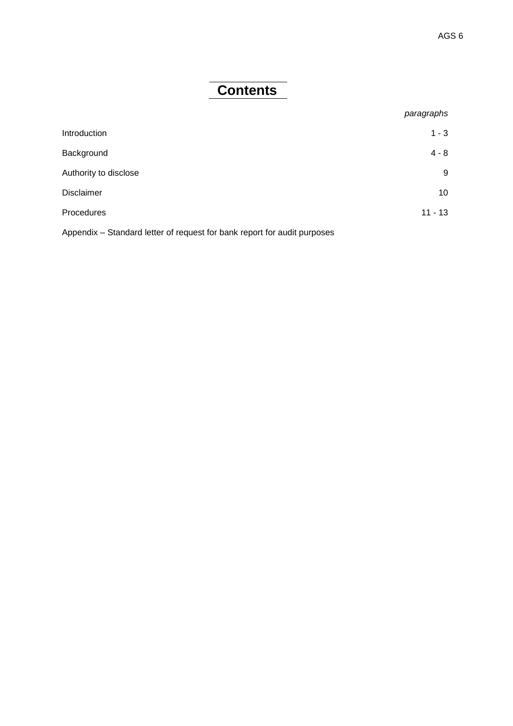# **Contents**

|                       | paragraphs |
|-----------------------|------------|
| Introduction          | $1 - 3$    |
| Background            | $4 - 8$    |
| Authority to disclose | 9          |
| <b>Disclaimer</b>     | 10         |
| Procedures            | $11 - 13$  |

Appendix – Standard letter of request for bank report for audit purposes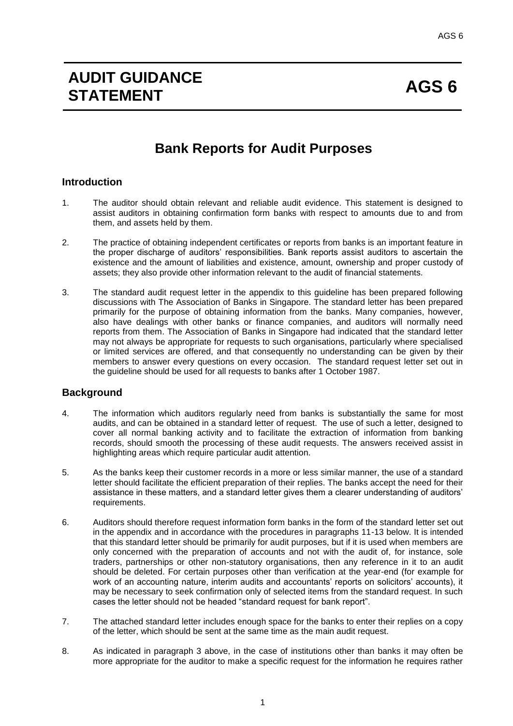# **Bank Reports for Audit Purposes**

# **Introduction**

- 1. The auditor should obtain relevant and reliable audit evidence. This statement is designed to assist auditors in obtaining confirmation form banks with respect to amounts due to and from them, and assets held by them.
- 2. The practice of obtaining independent certificates or reports from banks is an important feature in the proper discharge of auditors' responsibilities. Bank reports assist auditors to ascertain the existence and the amount of liabilities and existence, amount, ownership and proper custody of assets; they also provide other information relevant to the audit of financial statements.
- 3. The standard audit request letter in the appendix to this guideline has been prepared following discussions with The Association of Banks in Singapore. The standard letter has been prepared primarily for the purpose of obtaining information from the banks. Many companies, however, also have dealings with other banks or finance companies, and auditors will normally need reports from them. The Association of Banks in Singapore had indicated that the standard letter may not always be appropriate for requests to such organisations, particularly where specialised or limited services are offered, and that consequently no understanding can be given by their members to answer every questions on every occasion. The standard request letter set out in the guideline should be used for all requests to banks after 1 October 1987.

# **Background**

- 4. The information which auditors regularly need from banks is substantially the same for most audits, and can be obtained in a standard letter of request. The use of such a letter, designed to cover all normal banking activity and to facilitate the extraction of information from banking records, should smooth the processing of these audit requests. The answers received assist in highlighting areas which require particular audit attention.
- 5. As the banks keep their customer records in a more or less similar manner, the use of a standard letter should facilitate the efficient preparation of their replies. The banks accept the need for their assistance in these matters, and a standard letter gives them a clearer understanding of auditors' requirements.
- 6. Auditors should therefore request information form banks in the form of the standard letter set out in the appendix and in accordance with the procedures in paragraphs 11-13 below. It is intended that this standard letter should be primarily for audit purposes, but if it is used when members are only concerned with the preparation of accounts and not with the audit of, for instance, sole traders, partnerships or other non-statutory organisations, then any reference in it to an audit should be deleted. For certain purposes other than verification at the year-end (for example for work of an accounting nature, interim audits and accountants' reports on solicitors' accounts), it may be necessary to seek confirmation only of selected items from the standard request. In such cases the letter should not be headed "standard request for bank report".
- 7. The attached standard letter includes enough space for the banks to enter their replies on a copy of the letter, which should be sent at the same time as the main audit request.
- 8. As indicated in paragraph 3 above, in the case of institutions other than banks it may often be more appropriate for the auditor to make a specific request for the information he requires rather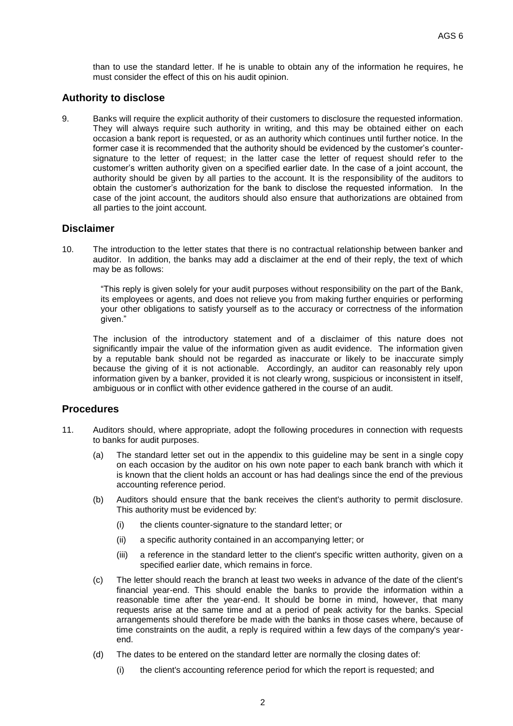than to use the standard letter. If he is unable to obtain any of the information he requires, he must consider the effect of this on his audit opinion.

# **Authority to disclose**

9. Banks will require the explicit authority of their customers to disclosure the requested information. They will always require such authority in writing, and this may be obtained either on each occasion a bank report is requested, or as an authority which continues until further notice. In the former case it is recommended that the authority should be evidenced by the customer's countersignature to the letter of request; in the latter case the letter of request should refer to the customer's written authority given on a specified earlier date. In the case of a joint account, the authority should be given by all parties to the account. It is the responsibility of the auditors to obtain the customer's authorization for the bank to disclose the requested information. In the case of the joint account, the auditors should also ensure that authorizations are obtained from all parties to the joint account.

## **Disclaimer**

10. The introduction to the letter states that there is no contractual relationship between banker and auditor. In addition, the banks may add a disclaimer at the end of their reply, the text of which may be as follows:

"This reply is given solely for your audit purposes without responsibility on the part of the Bank, its employees or agents, and does not relieve you from making further enquiries or performing your other obligations to satisfy yourself as to the accuracy or correctness of the information given."

The inclusion of the introductory statement and of a disclaimer of this nature does not significantly impair the value of the information given as audit evidence. The information given by a reputable bank should not be regarded as inaccurate or likely to be inaccurate simply because the giving of it is not actionable. Accordingly, an auditor can reasonably rely upon information given by a banker, provided it is not clearly wrong, suspicious or inconsistent in itself, ambiguous or in conflict with other evidence gathered in the course of an audit.

## **Procedures**

- 11. Auditors should, where appropriate, adopt the following procedures in connection with requests to banks for audit purposes.
	- (a) The standard letter set out in the appendix to this guideline may be sent in a single copy on each occasion by the auditor on his own note paper to each bank branch with which it is known that the client holds an account or has had dealings since the end of the previous accounting reference period.
	- (b) Auditors should ensure that the bank receives the client's authority to permit disclosure. This authority must be evidenced by:
		- (i) the clients counter-signature to the standard letter; or
		- (ii) a specific authority contained in an accompanying letter; or
		- (iii) a reference in the standard letter to the client's specific written authority, given on a specified earlier date, which remains in force.
	- (c) The letter should reach the branch at least two weeks in advance of the date of the client's financial year-end. This should enable the banks to provide the information within a reasonable time after the year-end. It should be borne in mind, however, that many requests arise at the same time and at a period of peak activity for the banks. Special arrangements should therefore be made with the banks in those cases where, because of time constraints on the audit, a reply is required within a few days of the company's yearend.
	- (d) The dates to be entered on the standard letter are normally the closing dates of:
		- (i) the client's accounting reference period for which the report is requested; and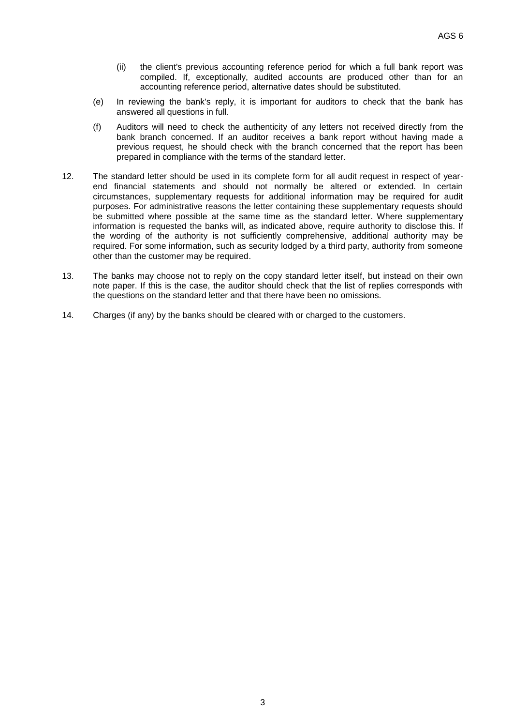- (ii) the client's previous accounting reference period for which a full bank report was compiled. If, exceptionally, audited accounts are produced other than for an accounting reference period, alternative dates should be substituted.
- (e) In reviewing the bank's reply, it is important for auditors to check that the bank has answered all questions in full.
- (f) Auditors will need to check the authenticity of any letters not received directly from the bank branch concerned. If an auditor receives a bank report without having made a previous request, he should check with the branch concerned that the report has been prepared in compliance with the terms of the standard letter.
- 12. The standard letter should be used in its complete form for all audit request in respect of yearend financial statements and should not normally be altered or extended. In certain circumstances, supplementary requests for additional information may be required for audit purposes. For administrative reasons the letter containing these supplementary requests should be submitted where possible at the same time as the standard letter. Where supplementary information is requested the banks will, as indicated above, require authority to disclose this. If the wording of the authority is not sufficiently comprehensive, additional authority may be required. For some information, such as security lodged by a third party, authority from someone other than the customer may be required.
- 13. The banks may choose not to reply on the copy standard letter itself, but instead on their own note paper. If this is the case, the auditor should check that the list of replies corresponds with the questions on the standard letter and that there have been no omissions.
- 14. Charges (if any) by the banks should be cleared with or charged to the customers.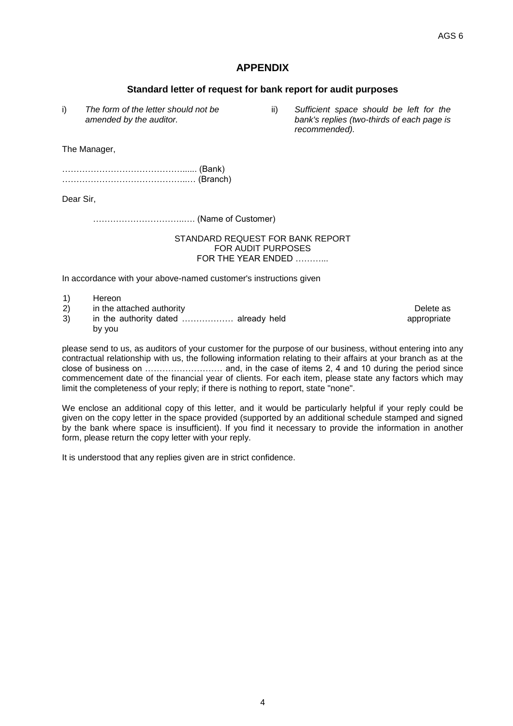# **APPENDIX**

### **Standard letter of request for bank report for audit purposes**

- i) *The form of the letter should not be amended by the auditor.*
- ii) *Sufficient space should be left for the bank's replies (two-thirds of each page is recommended).*

The Manager,

……………………………………...... (Bank) ……………………………………..… (Branch)

Dear Sir,

…………………………..…. (Name of Customer)

#### STANDARD REQUEST FOR BANK REPORT FOR AUDIT PURPOSES FOR THE YEAR ENDED ………...

In accordance with your above-named customer's instructions given

- 1) Hereon
- 2) in the attached authority **Delete** as  $\overline{a}$  and  $\overline{b}$  Delete as  $\overline{b}$  Delete as
- 3) in the authority dated ……………… already held by you

appropriate

please send to us, as auditors of your customer for the purpose of our business, without entering into any contractual relationship with us, the following information relating to their affairs at your branch as at the close of business on ……………………… and, in the case of items 2, 4 and 10 during the period since commencement date of the financial year of clients. For each item, please state any factors which may limit the completeness of your reply; if there is nothing to report, state "none".

We enclose an additional copy of this letter, and it would be particularly helpful if your reply could be given on the copy letter in the space provided (supported by an additional schedule stamped and signed by the bank where space is insufficient). If you find it necessary to provide the information in another form, please return the copy letter with your reply.

It is understood that any replies given are in strict confidence.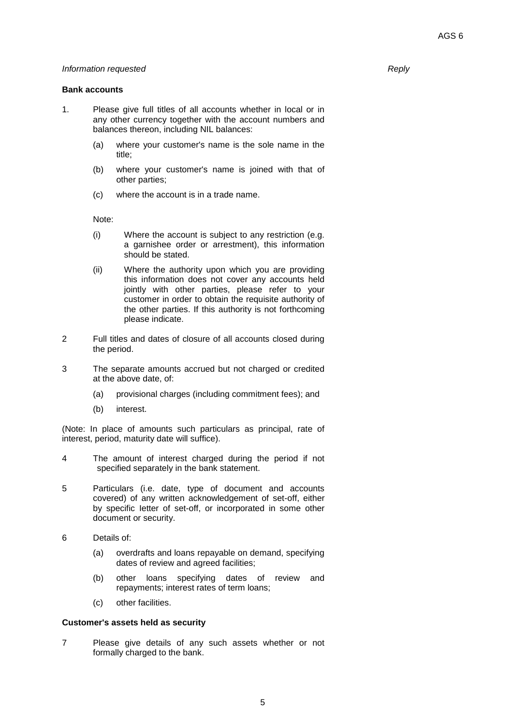#### *Information requested Reply*

#### **Bank accounts**

- 1. Please give full titles of all accounts whether in local or in any other currency together with the account numbers and balances thereon, including NIL balances:
	- (a) where your customer's name is the sole name in the title;
	- (b) where your customer's name is joined with that of other parties;
	- (c) where the account is in a trade name.

Note:

- (i) Where the account is subject to any restriction (e.g. a garnishee order or arrestment), this information should be stated.
- (ii) Where the authority upon which you are providing this information does not cover any accounts held jointly with other parties, please refer to your customer in order to obtain the requisite authority of the other parties. If this authority is not forthcoming please indicate.
- 2 Full titles and dates of closure of all accounts closed during the period.
- 3 The separate amounts accrued but not charged or credited at the above date, of:
	- (a) provisional charges (including commitment fees); and
	- (b) interest.

(Note: In place of amounts such particulars as principal, rate of interest, period, maturity date will suffice).

- 4 The amount of interest charged during the period if not specified separately in the bank statement.
- 5 Particulars (i.e. date, type of document and accounts covered) of any written acknowledgement of set-off, either by specific Ietter of set-off, or incorporated in some other document or security.
- 6 Details of:
	- (a) overdrafts and loans repayable on demand, specifying dates of review and agreed facilities;
	- (b) other loans specifying dates of review and repayments; interest rates of term loans;
	- (c) other facilities.

#### **Customer's assets held as security**

7 Please give details of any such assets whether or not formally charged to the bank.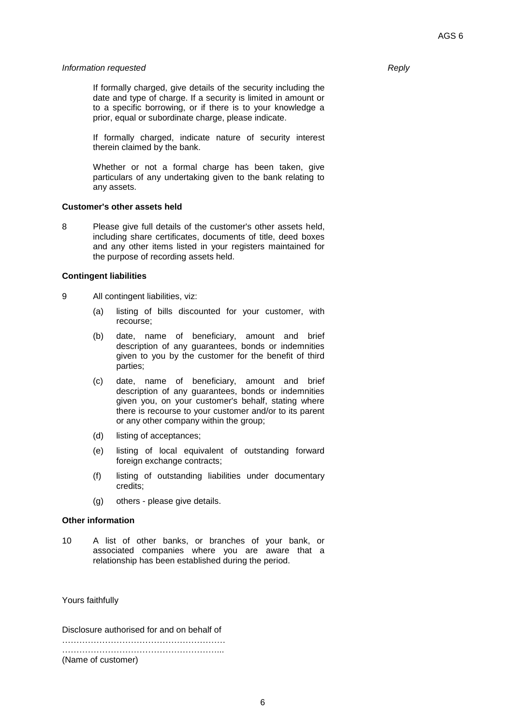#### *Information requested Reply*

If formally charged, give details of the security including the date and type of charge. If a security is limited in amount or to a specific borrowing, or if there is to your knowledge a prior, equal or subordinate charge, please indicate.

If formally charged, indicate nature of security interest therein claimed by the bank.

Whether or not a formal charge has been taken, give particulars of any undertaking given to the bank relating to any assets.

#### **Customer's other assets held**

8 Please give full details of the customer's other assets held, including share certificates, documents of title, deed boxes and any other items listed in your registers maintained for the purpose of recording assets held.

#### **Contingent liabilities**

- 9 All contingent liabilities, viz:
	- (a) listing of bills discounted for your customer, with recourse;
	- (b) date, name of beneficiary, amount and brief description of any guarantees, bonds or indemnities given to you by the customer for the benefit of third parties;
	- (c) date, name of beneficiary, amount and brief description of any guarantees, bonds or indemnities given you, on your customer's behalf, stating where there is recourse to your customer and/or to its parent or any other company within the group;
	- (d) listing of acceptances;
	- (e) listing of local equivalent of outstanding forward foreign exchange contracts;
	- (f) listing of outstanding liabilities under documentary credits;
	- (g) others please give details.

#### **Other information**

10 A list of other banks, or branches of your bank, or associated companies where you are aware that a relationship has been established during the period.

Yours faithfully

Disclosure authorised for and on behalf of ………………………………………………… ……………………………………………………………… (Name of customer)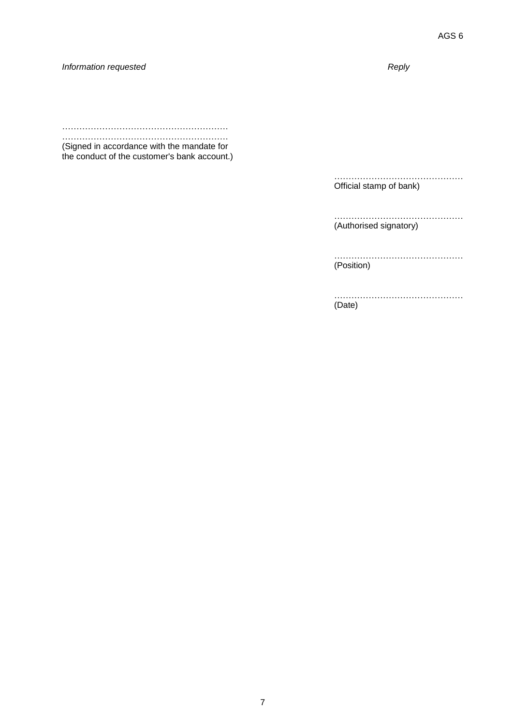# *Information requested Reply*

…………………………………………………. …………………………………………………. (Signed in accordance with the mandate for the conduct of the customer's bank account.)

> ……………………………………… Official stamp of bank)

> ……………………………………… (Authorised signatory)

> ……………………………………… (Position)

> ……………………………………… (Date)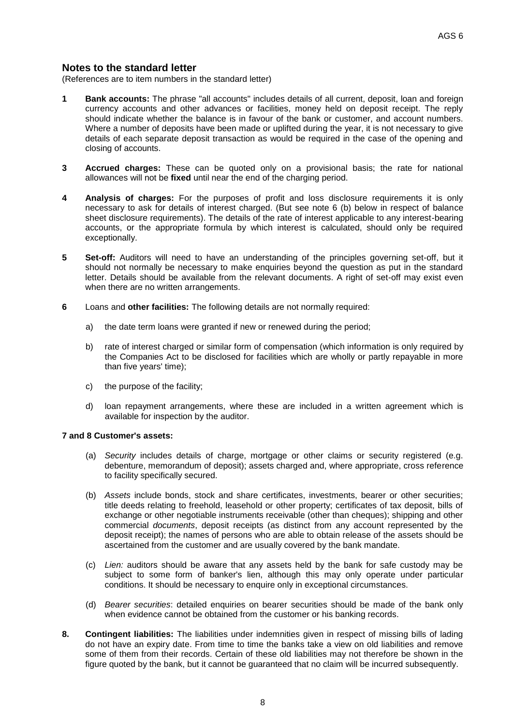# **Notes to the standard letter**

(References are to item numbers in the standard letter)

- **1 Bank accounts:** The phrase "all accounts" includes details of all current, deposit, loan and foreign currency accounts and other advances or facilities, money held on deposit receipt. The reply should indicate whether the balance is in favour of the bank or customer, and account numbers. Where a number of deposits have been made or uplifted during the year, it is not necessary to give details of each separate deposit transaction as would be required in the case of the opening and closing of accounts.
- **3 Accrued charges:** These can be quoted only on a provisional basis; the rate for national allowances will not be **fixed** until near the end of the charging period.
- **4 Analysis of charges:** For the purposes of profit and loss disclosure requirements it is only necessary to ask for details of interest charged. (But see note 6 (b) below in respect of balance sheet disclosure requirements). The details of the rate of interest applicable to any interest-bearing accounts, or the appropriate formula by which interest is calculated, should only be required exceptionally.
- **5 Set-off:** Auditors will need to have an understanding of the principles governing set-off, but it should not normally be necessary to make enquiries beyond the question as put in the standard letter. Details should be available from the relevant documents. A right of set-off may exist even when there are no written arrangements.
- **6** Loans and **other faciIities:** The following details are not normally required:
	- a) the date term loans were granted if new or renewed during the period;
	- b) rate of interest charged or similar form of compensation (which information is only required by the Companies Act to be disclosed for facilities which are wholly or partly repayable in more than five years' time);
	- c) the purpose of the facility;
	- d) loan repayment arrangements, where these are included in a written agreement which is available for inspection by the auditor.

#### **7 and 8 Customer's assets:**

- (a) *Security* includes details of charge, mortgage or other claims or security registered (e.g. debenture, memorandum of deposit); assets charged and, where appropriate, cross reference to facility specifically secured.
- (b) *Assets* include bonds, stock and share certificates, investments, bearer or other securities; title deeds relating to freehold, leasehold or other property; certificates of tax deposit, bills of exchange or other negotiable instruments receivable (other than cheques); shipping and other commercial *documents*, deposit receipts (as distinct from any account represented by the deposit receipt); the names of persons who are able to obtain release of the assets should be ascertained from the customer and are usually covered by the bank mandate.
- (c) *Lien:* auditors should be aware that any assets held by the bank for safe custody may be subject to some form of banker's lien, although this may only operate under particular conditions. It should be necessary to enquire only in exceptional circumstances.
- (d) *Bearer securities*: detailed enquiries on bearer securities should be made of the bank only when evidence cannot be obtained from the customer or his banking records.
- **8. Contingent liabilities:** The liabilities under indemnities given in respect of missing bills of lading do not have an expiry date. From time to time the banks take a view on old liabilities and remove some of them from their records. Certain of these old liabilities may not therefore be shown in the figure quoted by the bank, but it cannot be guaranteed that no claim will be incurred subsequently.